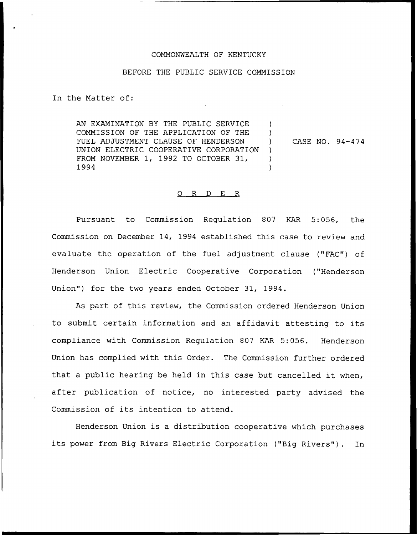### COMMONWEALTH OF KENTUCKY

### BEFORE THE PUBLIC SERVICE COMMISSION

In the Matter of:

AN EXAMINATION BY THE PUBLIC SERVICE COMMISSION OF THE APPLICATION OF THE FUEL ADJUSTMENT CLAUSE OF HENDERSON UNION ELECTRIC COOPERATIVE CORPORATION FROM NOVEMBER 1, 1992 TO OCTOBER 31, 1994 ) )  $\left| \right\rangle$ )  $\lambda$ 

) CASE NO. 94-474

#### 0 R <sup>D</sup> E R

Pursuant to Commission Regulation 807 KAR 5:056, the Commission on December 14, 1994 established this case to review and evaluate the operation of the fuel adjustment clause ("FAC") of Henderson Union Electric Cooperative Corporation ("Henderson Union") for the two years ended October 31, 1994.

As part of this review, the Commission ordered Henderson Union to submit certain information and an affidavit attesting to its compliance with Commission Regulation 807 KAR 5:056. Henderson Union has complied with this Order. The Commission further ordered that <sup>a</sup> public hearing be held in this case but cancelled it when, after publication of notice, no interested party advised the Commission of its intention to attend.

Henderson Union is a distribution cooperative which purchases its power from Big Rivers Electric Corporation ("Big Rivers"). In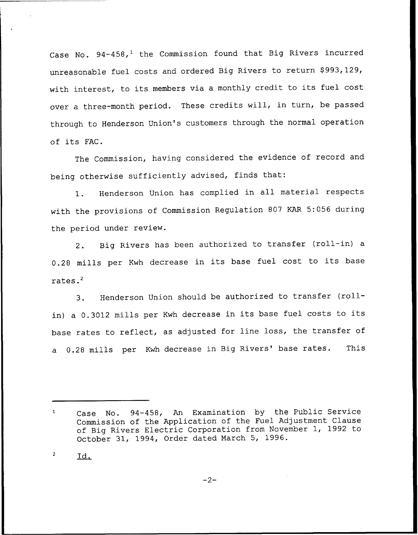Case No.  $94-458$ ,<sup>1</sup> the Commission found that Big Rivers incurred unreasonable fuel costs and ordered Big Rivers to return \$993,129, with interest, to its members via <sup>a</sup> monthly credit to its fuel cost over <sup>a</sup> three-month period. These credits will, in turn, be passed through to Henderson Union's customers through the normal operation of its FAC.

The Commission, having considered the evidence of record and being otherwise sufficiently advised, finds that:

1. Henderson Union has complied in all material respects with the provisions of Commission Regulation <sup>807</sup> KAR 5:056 during the period under review.

2. Big Rivers has been authorized to transfer (roll-in) <sup>a</sup> 0.28 mills per Kwh decrease in its base fuel cost to its base rates.'.

Henderson Union should be authorized to transfer (roll- $3.$ in) <sup>a</sup> 0.3012 mills per Kwh decrease in its base fuel costs to its base rates to reflect, as adjusted for line loss, the transfer of a 0.28 mills per Kwh decrease in Big Rivers' base rates. This

 $\overline{c}$ 1d.

 $-2-$ 

Case No. 94-458, An Examination by the Public Service  $\mathbf{1}$ Commission of the Application of the Fuel Adjustment Clause of Big Rivers Electric Corporation from November 1, 1992 to October 31, 1994, Order dated March 5, 1996.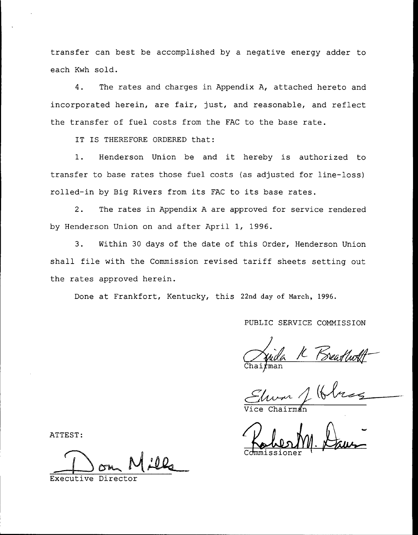transfer can best be accomplished by a negative energy adder to each Kwh sold.

4. The rates and charges in Appendix A, attached hereto and incorporated herein, are fair, just, and reasonable, and reflect the transfer of fuel costs from the FAC to the base rate.

IT IS THEREFORE ORDERED that:

1. Henderson Union be and it hereby is authorized to transfer to base rates those fuel costs {as adjusted for line-loss) rolled-in by Big Rivers from its FAC to its base rates.

2. The rates in Appendix <sup>A</sup> are approved for service rendered by Henderson Union on and after April 1, 1996.

3. Within 30 days of the date of this Order, Henderson Union shall file with the Commission revised tariff sheets setting out the rates approved herein.

Done at Frankfort, Kentucky, this 22nd day of March, 1996.

### PUBLIC SERVICE COMMISSION

an  $\mu$ 

Vice Chairma

Commissione  $M.\nLax-$ 

ATTEST:

Executive Director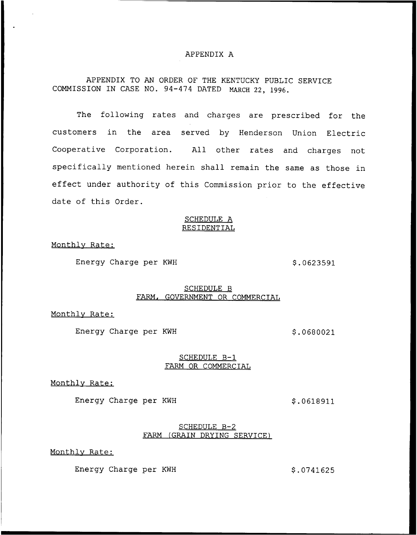### APPENDIX A

## APPENDIX TO AN ORDER OF THE KENTUCKY PUBLIC SERVICE COMMISSION IN CASE NO. 94-474 DATED MARCH 22, 1996.

The following rates and charges are prescribed for the customers in the area served by Henderson Union Electric Cooperative Corporation. All other rates and charges not specifically mentioned herein shall remain the same as those in effect under authority of this Commission prior to the effective date of this Order.

#### SCHEDULE A RESIDENTIAL

Monthlv Rate:

Energy Charge per KWH  $$.0623591$ 

## SCHEDULE B FARM, GOVERNMENT OR COMMERCIAL

Monthlv Rate:

Energy Charge per KWH  $$.0680021$ 

### SCHEDULE B—1 FARM OR COMMERCIAL

Monthly Rate:

Energy Charge per KWH \$.0618911

#### SCHEDULE B-2 FARM (GRAIN DRYING SERVICE)

Monthlv Rate:

Energy Charge per KWH  $$.0741625$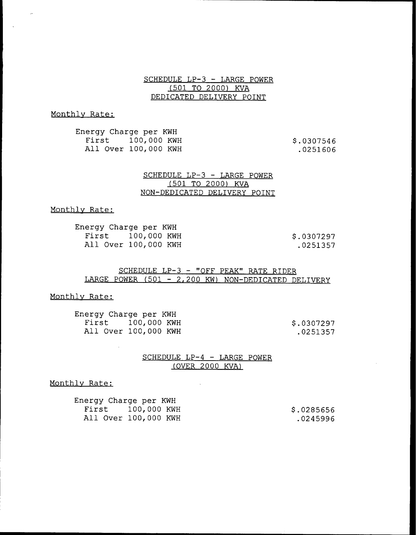SCHEDULE LP-3 — LARGE POWER (501 TO 2000) KVA DEDICATED DELIVERY POINT

## Monthlv Rate:

 $\sim$ 

 $\ddot{\phantom{a}}$ 

Energy Charge per KWH First 100,000 KWH All Over 100, 000 KWH

\$ .0307546 .0251606

### SCHEDULE LP-3 — LARGE POWER (501 TO 2000) KVA NON-DEDICATED DELIVERY POINT

### Monthlv Rate:

| Energy Charge per KWH |            |
|-----------------------|------------|
| First 100,000 KWH     | \$.0307297 |
| All Over 100,000 KWH  | .0251357   |

SCHEDULE LP-3 — "OFF PEAK" RATE RIDER LARGE POWER (501 — 2,200 KW) NON-DEDICATED DELIVERY

#### Monthlv Rate:

| Energy Charge per KWH |            |
|-----------------------|------------|
| First 100,000 KWH     | \$.0307297 |
| All Over 100,000 KWH  | .0251357   |

### SCHEDULE LP-4 — LARGE POWER (OVER 2000 KVA)

### Monthlv Rate:

 $\sim$ 

| Energy Charge per KWH |                      |            |
|-----------------------|----------------------|------------|
|                       | First 100,000 KWH    | \$.0285656 |
|                       | All Over 100,000 KWH | .0245996   |